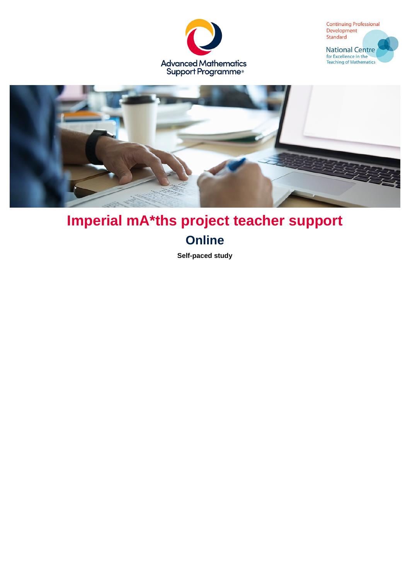





# **Imperial mA\*ths project teacher support Online**

**Self-paced study**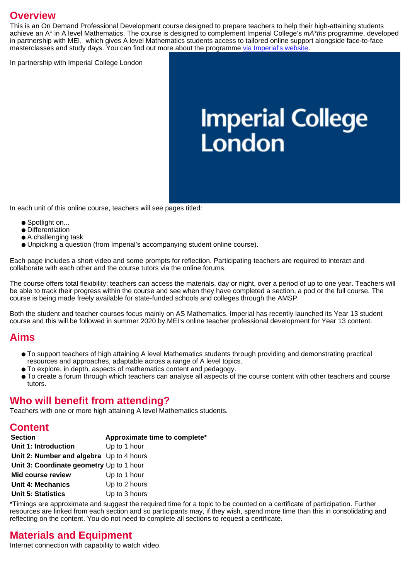### **Overview**

This is an On Demand Professional Development course designed to prepare teachers to help their high-attaining students achieve an A<sup>\*</sup> in A level Mathematics. The course is designed to complement Imperial College's  $mA*ths$  programme, developed in partnership with MEI, which gives A level Mathematics students access to tailored online support alongside face-to-face masterclasses and study days. You can find out more about the programme [via Imperial's website.](https://www.imperial.ac.uk/be-inspired/student-recruitment-and-outreach/schools-and-colleges/students/on-campus-activities/programmes/maths-online-programme/)

In partnership with Imperial College London

# **Imperial College<br>London**

In each unit of this online course, teachers will see pages titled:

- Spotlight on...
- Differentiation
- A challenging task
- Unpicking a question (from Imperial's accompanying student online course).

Each page includes a short video and some prompts for reflection. Participating teachers are required to interact and collaborate with each other and the course tutors via the online forums.

The course offers total flexibility: teachers can access the materials, day or night, over a period of up to one year. Teachers will be able to track their progress within the course and see when they have completed a section, a pod or the full course. The course is being made freely available for state-funded schools and colleges through the AMSP.

Both the student and teacher courses focus mainly on AS Mathematics. Imperial has recently launched its Year 13 student course and this will be followed in summer 2020 by MEI's online teacher professional development for Year 13 content.

#### **Aims**

- To support teachers of high attaining A level Mathematics students through providing and demonstrating practical resources and approaches, adaptable across a range of A level topics.
- To explore, in depth, aspects of mathematics content and pedagogy.
- To create a forum through which teachers can analyse all aspects of the course content with other teachers and course tutors.

### **Who will benefit from attending?**

Teachers with one or more high attaining A level Mathematics students.

#### **Content**

| <b>Section</b>                           | Approximate time to complete* |
|------------------------------------------|-------------------------------|
| Unit 1: Introduction                     | Up to 1 hour                  |
| Unit 2: Number and algebra Up to 4 hours |                               |
| Unit 3: Coordinate geometry Up to 1 hour |                               |
| <b>Mid course review</b>                 | Up to 1 hour                  |
| Unit 4: Mechanics                        | Up to 2 hours                 |
| <b>Unit 5: Statistics</b>                | Up to 3 hours                 |

\*Timings are approximate and suggest the required time for a topic to be counted on a certificate of participation. Further resources are linked from each section and so participants may, if they wish, spend more time than this in consolidating and reflecting on the content. You do not need to complete all sections to request a certificate.

# **Materials and Equipment**

Internet connection with capability to watch video.